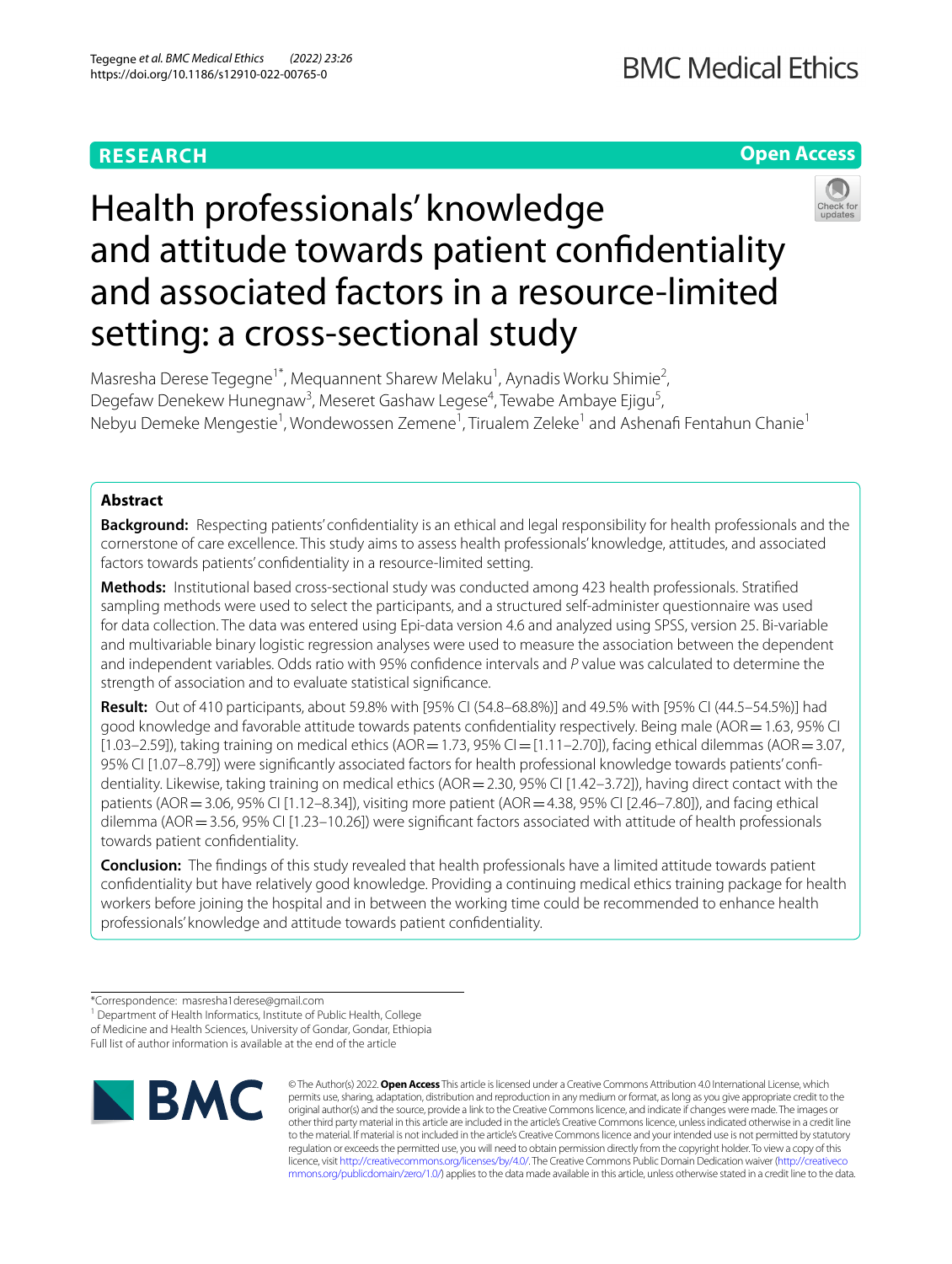# **RESEARCH**

**Open Access**

# Health professionals' knowledge and attitude towards patient confdentiality and associated factors in a resource-limited setting: a cross-sectional study

Masresha Derese Tegegne<sup>1\*</sup>, Mequannent Sharew Melaku<sup>1</sup>, Aynadis Worku Shimie<sup>2</sup>, Degefaw Denekew Hunegnaw<sup>3</sup>, Meseret Gashaw Legese<sup>4</sup>, Tewabe Ambaye Ejigu<sup>5</sup>, Nebyu Demeke Mengestie<sup>1</sup>, Wondewossen Zemene<sup>1</sup>, Tirualem Zeleke<sup>1</sup> and Ashenafi Fentahun Chanie<sup>1</sup>

# **Abstract**

**Background:** Respecting patients' confidentiality is an ethical and legal responsibility for health professionals and the cornerstone of care excellence. This study aims to assess health professionals' knowledge, attitudes, and associated factors towards patients' confdentiality in a resource-limited setting.

**Methods:** Institutional based cross-sectional study was conducted among 423 health professionals. Stratifed sampling methods were used to select the participants, and a structured self-administer questionnaire was used for data collection. The data was entered using Epi-data version 4.6 and analyzed using SPSS, version 25. Bi-variable and multivariable binary logistic regression analyses were used to measure the association between the dependent and independent variables. Odds ratio with 95% confdence intervals and *P* value was calculated to determine the strength of association and to evaluate statistical signifcance.

**Result:** Out of 410 participants, about 59.8% with [95% CI (54.8–68.8%)] and 49.5% with [95% CI (44.5–54.5%)] had good knowledge and favorable attitude towards patents confdentiality respectively. Being male (AOR=1.63, 95% CI  $[1.03–2.59]$ ), taking training on medical ethics (AOR = 1.73, 95% CI =  $[1.11–2.70]$ ), facing ethical dilemmas (AOR = 3.07, 95% CI [1.07–8.79]) were signifcantly associated factors for health professional knowledge towards patients' confdentiality. Likewise, taking training on medical ethics (AOR=2.30, 95% CI [1.42-3.72]), having direct contact with the patients (AOR=3.06, 95% CI [1.12–8.34]), visiting more patient (AOR=4.38, 95% CI [2.46–7.80]), and facing ethical dilemma (AOR = 3.56, 95% CI [1.23–10.26]) were significant factors associated with attitude of health professionals towards patient confdentiality.

**Conclusion:** The fndings of this study revealed that health professionals have a limited attitude towards patient confdentiality but have relatively good knowledge. Providing a continuing medical ethics training package for health workers before joining the hospital and in between the working time could be recommended to enhance health professionals' knowledge and attitude towards patient confdentiality.

<sup>1</sup> Department of Health Informatics, Institute of Public Health, College of Medicine and Health Sciences, University of Gondar, Gondar, Ethiopia

Full list of author information is available at the end of the article



© The Author(s) 2022. **Open Access** This article is licensed under a Creative Commons Attribution 4.0 International License, which permits use, sharing, adaptation, distribution and reproduction in any medium or format, as long as you give appropriate credit to the original author(s) and the source, provide a link to the Creative Commons licence, and indicate if changes were made. The images or other third party material in this article are included in the article's Creative Commons licence, unless indicated otherwise in a credit line to the material. If material is not included in the article's Creative Commons licence and your intended use is not permitted by statutory regulation or exceeds the permitted use, you will need to obtain permission directly from the copyright holder. To view a copy of this licence, visit [http://creativecommons.org/licenses/by/4.0/.](http://creativecommons.org/licenses/by/4.0/) The Creative Commons Public Domain Dedication waiver ([http://creativeco](http://creativecommons.org/publicdomain/zero/1.0/) [mmons.org/publicdomain/zero/1.0/](http://creativecommons.org/publicdomain/zero/1.0/)) applies to the data made available in this article, unless otherwise stated in a credit line to the data.

<sup>\*</sup>Correspondence: masresha1derese@gmail.com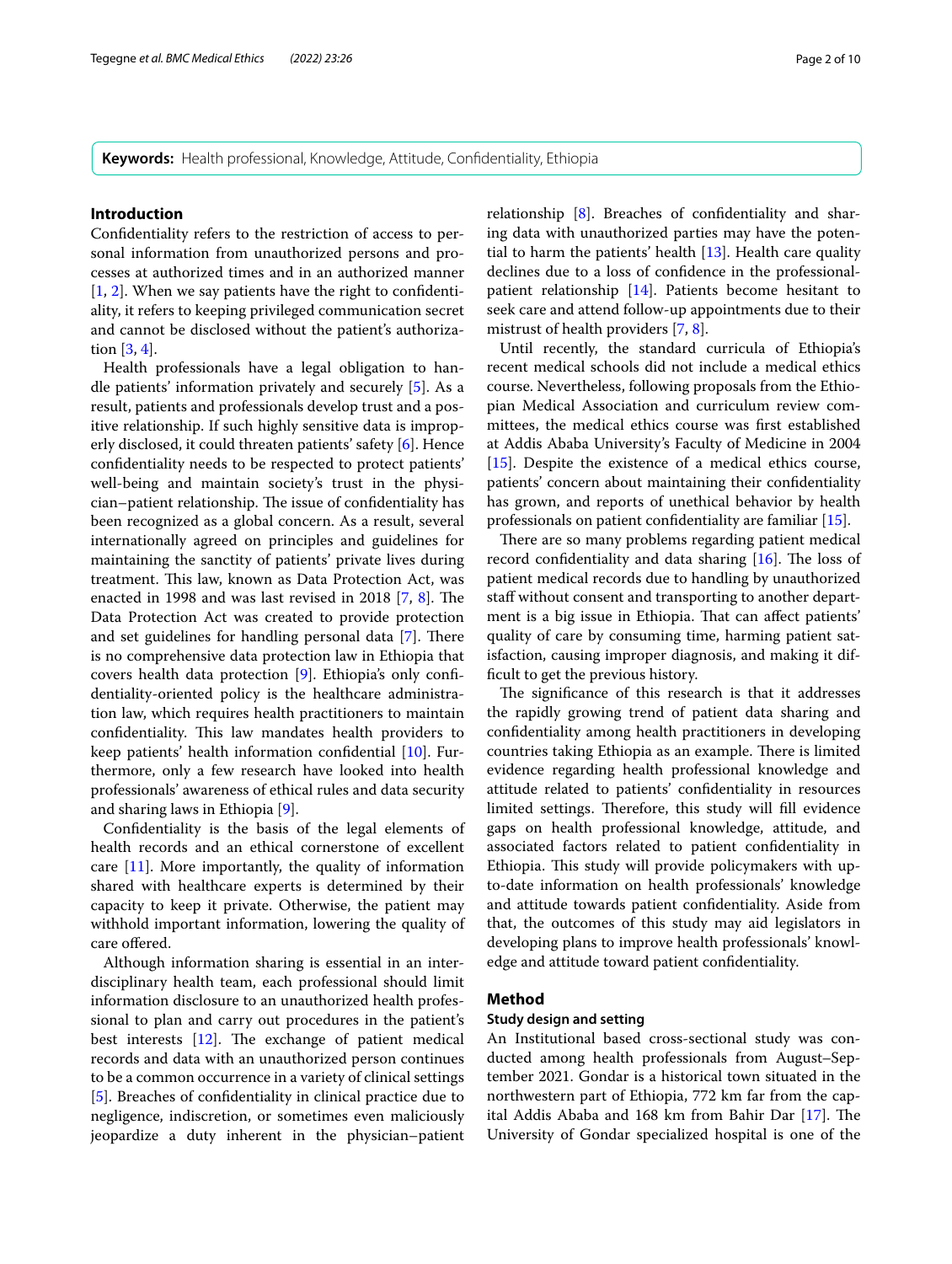**Keywords:** Health professional, Knowledge, Attitude, Confdentiality, Ethiopia

# **Introduction**

Confdentiality refers to the restriction of access to personal information from unauthorized persons and processes at authorized times and in an authorized manner  $[1, 2]$  $[1, 2]$  $[1, 2]$  $[1, 2]$ . When we say patients have the right to confidentiality, it refers to keeping privileged communication secret and cannot be disclosed without the patient's authorization [[3,](#page-9-2) [4](#page-9-3)].

Health professionals have a legal obligation to handle patients' information privately and securely [[5\]](#page-9-4). As a result, patients and professionals develop trust and a positive relationship. If such highly sensitive data is improperly disclosed, it could threaten patients' safety [[6\]](#page-9-5). Hence confdentiality needs to be respected to protect patients' well-being and maintain society's trust in the physician–patient relationship. The issue of confidentiality has been recognized as a global concern. As a result, several internationally agreed on principles and guidelines for maintaining the sanctity of patients' private lives during treatment. This law, known as Data Protection Act, was enacted in 199[8](#page-9-7) and was last revised in 2018  $[7, 8]$  $[7, 8]$ . The Data Protection Act was created to provide protection and set guidelines for handling personal data [\[7](#page-9-6)]. There is no comprehensive data protection law in Ethiopia that covers health data protection [[9\]](#page-9-8). Ethiopia's only confdentiality-oriented policy is the healthcare administration law, which requires health practitioners to maintain confidentiality. This law mandates health providers to keep patients' health information confdential [\[10](#page-9-9)]. Furthermore, only a few research have looked into health professionals' awareness of ethical rules and data security and sharing laws in Ethiopia [[9\]](#page-9-8).

Confdentiality is the basis of the legal elements of health records and an ethical cornerstone of excellent care [[11\]](#page-9-10). More importantly, the quality of information shared with healthcare experts is determined by their capacity to keep it private. Otherwise, the patient may withhold important information, lowering the quality of care offered.

Although information sharing is essential in an interdisciplinary health team, each professional should limit information disclosure to an unauthorized health professional to plan and carry out procedures in the patient's best interests  $[12]$  $[12]$ . The exchange of patient medical records and data with an unauthorized person continues to be a common occurrence in a variety of clinical settings [[5\]](#page-9-4). Breaches of confdentiality in clinical practice due to negligence, indiscretion, or sometimes even maliciously jeopardize a duty inherent in the physician–patient relationship [[8\]](#page-9-7). Breaches of confdentiality and sharing data with unauthorized parties may have the potential to harm the patients' health [[13\]](#page-9-12). Health care quality declines due to a loss of confdence in the professionalpatient relationship [[14\]](#page-9-13). Patients become hesitant to seek care and attend follow-up appointments due to their mistrust of health providers [[7,](#page-9-6) [8](#page-9-7)].

Until recently, the standard curricula of Ethiopia's recent medical schools did not include a medical ethics course. Nevertheless, following proposals from the Ethiopian Medical Association and curriculum review committees, the medical ethics course was frst established at Addis Ababa University's Faculty of Medicine in 2004 [[15\]](#page-9-14). Despite the existence of a medical ethics course, patients' concern about maintaining their confdentiality has grown, and reports of unethical behavior by health professionals on patient confdentiality are familiar [\[15](#page-9-14)].

There are so many problems regarding patient medical record confidentiality and data sharing  $[16]$  $[16]$ . The loss of patient medical records due to handling by unauthorized staff without consent and transporting to another department is a big issue in Ethiopia. That can affect patients' quality of care by consuming time, harming patient satisfaction, causing improper diagnosis, and making it diffcult to get the previous history.

The significance of this research is that it addresses the rapidly growing trend of patient data sharing and confdentiality among health practitioners in developing countries taking Ethiopia as an example. There is limited evidence regarding health professional knowledge and attitude related to patients' confdentiality in resources limited settings. Therefore, this study will fill evidence gaps on health professional knowledge, attitude, and associated factors related to patient confdentiality in Ethiopia. This study will provide policymakers with upto-date information on health professionals' knowledge and attitude towards patient confdentiality. Aside from that, the outcomes of this study may aid legislators in developing plans to improve health professionals' knowledge and attitude toward patient confdentiality.

# **Method**

# **Study design and setting**

An Institutional based cross-sectional study was conducted among health professionals from August–September 2021. Gondar is a historical town situated in the northwestern part of Ethiopia, 772 km far from the capital Addis Ababa and  $168$  km from Bahir Dar  $[17]$  $[17]$ . The University of Gondar specialized hospital is one of the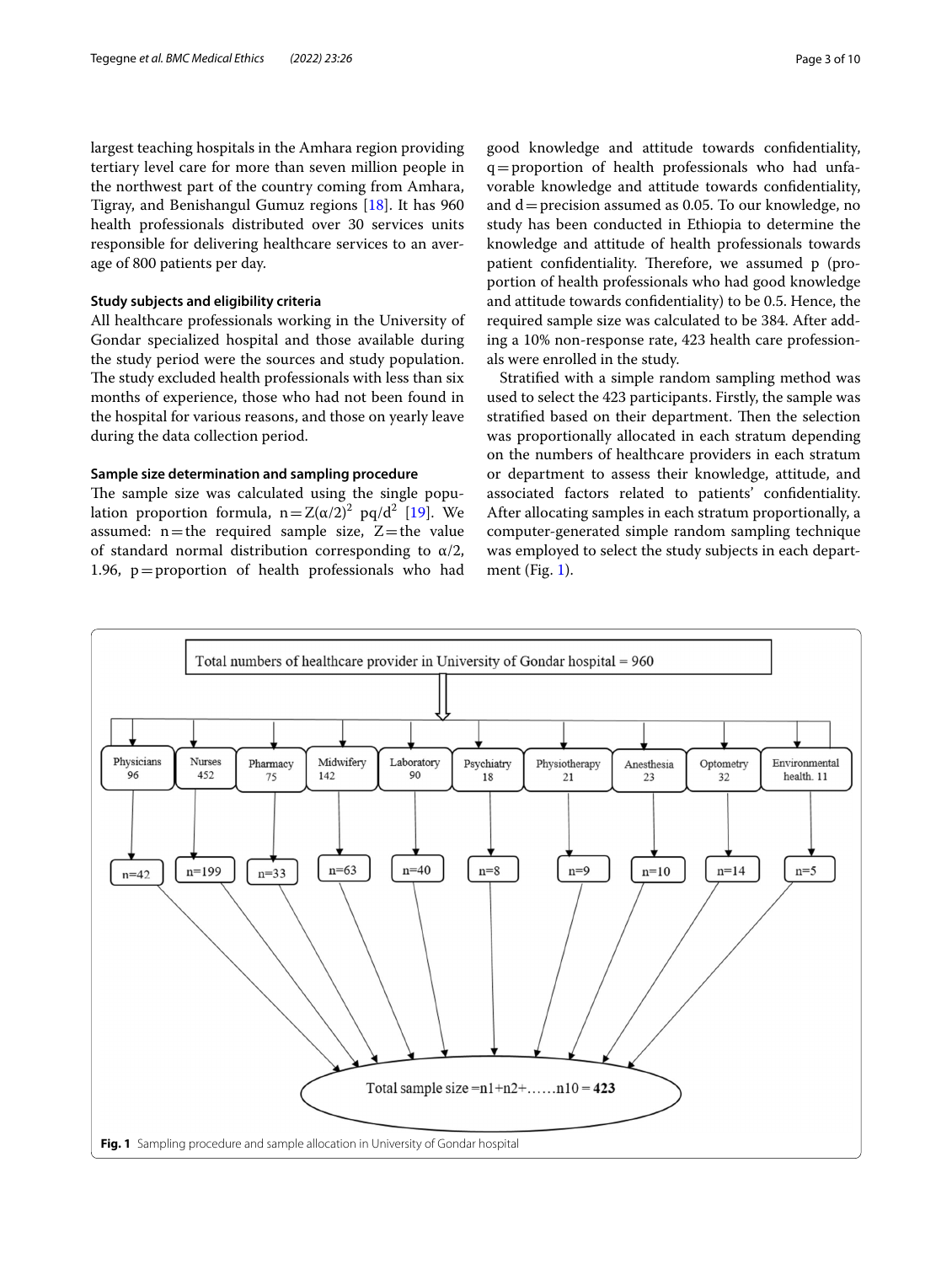largest teaching hospitals in the Amhara region providing tertiary level care for more than seven million people in the northwest part of the country coming from Amhara, Tigray, and Benishangul Gumuz regions [\[18](#page-9-17)]. It has 960 health professionals distributed over 30 services units responsible for delivering healthcare services to an average of 800 patients per day.

#### **Study subjects and eligibility criteria**

All healthcare professionals working in the University of Gondar specialized hospital and those available during the study period were the sources and study population. The study excluded health professionals with less than six months of experience, those who had not been found in the hospital for various reasons, and those on yearly leave during the data collection period.

# **Sample size determination and sampling procedure**

The sample size was calculated using the single population proportion formula,  $n = Z(\alpha/2)^2$  pq/d<sup>2</sup> [[19](#page-9-18)]. We assumed:  $n$  = the required sample size,  $Z$  = the value of standard normal distribution corresponding to  $\alpha/2$ , 1.96, p=proportion of health professionals who had

good knowledge and attitude towards confdentiality, q=proportion of health professionals who had unfavorable knowledge and attitude towards confdentiality, and  $d=$  precision assumed as 0.05. To our knowledge, no study has been conducted in Ethiopia to determine the knowledge and attitude of health professionals towards patient confidentiality. Therefore, we assumed p (proportion of health professionals who had good knowledge and attitude towards confdentiality) to be 0.5. Hence, the required sample size was calculated to be 384. After adding a 10% non-response rate, 423 health care professionals were enrolled in the study.

Stratifed with a simple random sampling method was used to select the 423 participants. Firstly, the sample was stratified based on their department. Then the selection was proportionally allocated in each stratum depending on the numbers of healthcare providers in each stratum or department to assess their knowledge, attitude, and associated factors related to patients' confdentiality. After allocating samples in each stratum proportionally, a computer-generated simple random sampling technique was employed to select the study subjects in each department (Fig. [1\)](#page-2-0).

<span id="page-2-0"></span>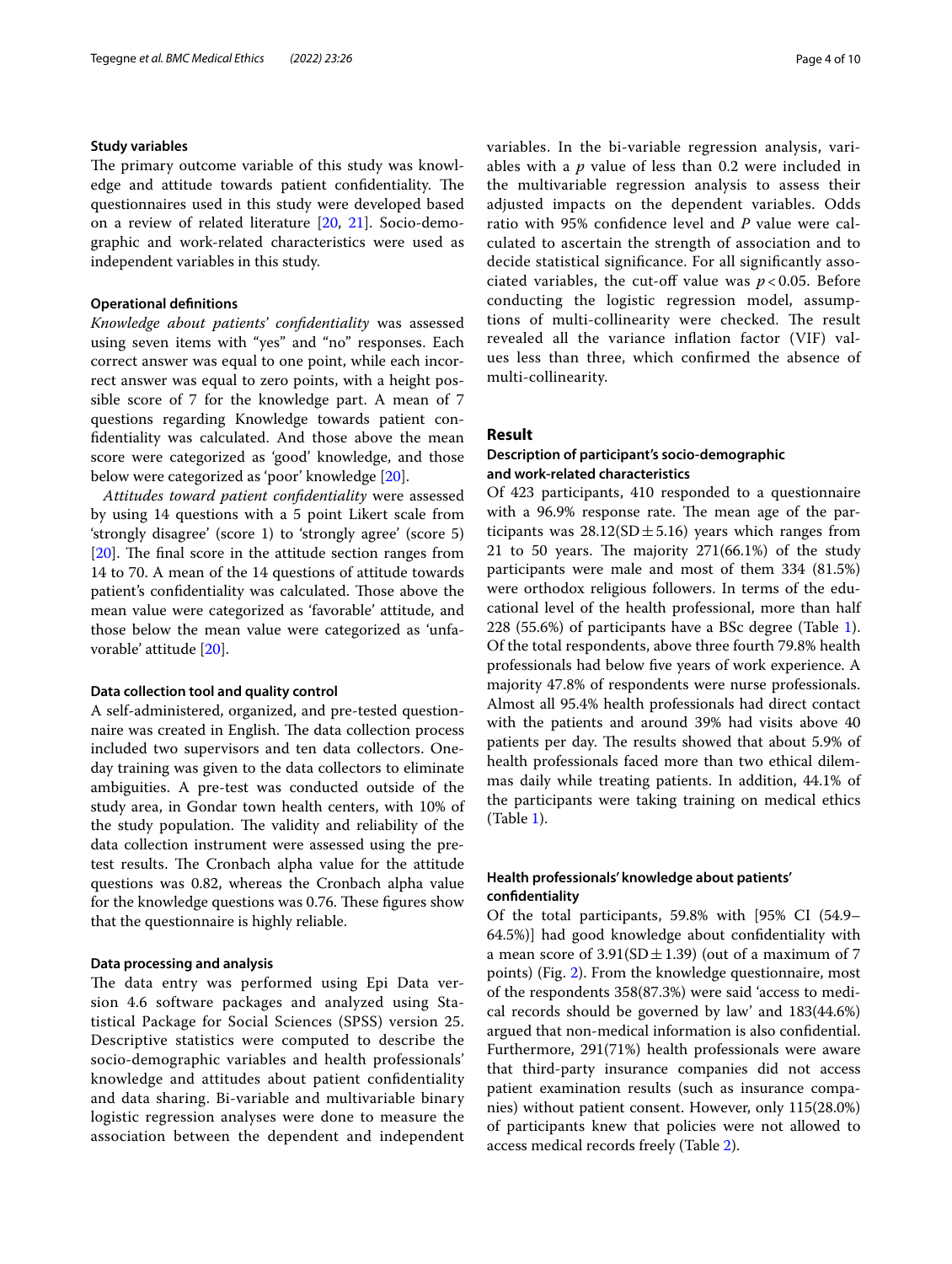#### **Study variables**

The primary outcome variable of this study was knowledge and attitude towards patient confidentiality. The questionnaires used in this study were developed based on a review of related literature [[20](#page-9-19), [21\]](#page-9-20). Socio-demographic and work-related characteristics were used as independent variables in this study.

## **Operational defnitions**

*Knowledge about patients' confdentiality* was assessed using seven items with "yes" and "no" responses. Each correct answer was equal to one point, while each incorrect answer was equal to zero points, with a height possible score of 7 for the knowledge part. A mean of 7 questions regarding Knowledge towards patient confdentiality was calculated. And those above the mean score were categorized as 'good' knowledge, and those below were categorized as 'poor' knowledge [[20\]](#page-9-19).

*Attitudes toward patient confdentiality* were assessed by using 14 questions with a 5 point Likert scale from 'strongly disagree' (score 1) to 'strongly agree' (score 5)  $[20]$  $[20]$ . The final score in the attitude section ranges from 14 to 70. A mean of the 14 questions of attitude towards patient's confidentiality was calculated. Those above the mean value were categorized as 'favorable' attitude, and those below the mean value were categorized as 'unfavorable' attitude [\[20](#page-9-19)].

#### **Data collection tool and quality control**

A self-administered, organized, and pre-tested questionnaire was created in English. The data collection process included two supervisors and ten data collectors. Oneday training was given to the data collectors to eliminate ambiguities. A pre-test was conducted outside of the study area, in Gondar town health centers, with 10% of the study population. The validity and reliability of the data collection instrument were assessed using the pretest results. The Cronbach alpha value for the attitude questions was 0.82, whereas the Cronbach alpha value for the knowledge questions was 0.76. These figures show that the questionnaire is highly reliable.

# **Data processing and analysis**

The data entry was performed using Epi Data version 4.6 software packages and analyzed using Statistical Package for Social Sciences (SPSS) version 25. Descriptive statistics were computed to describe the socio-demographic variables and health professionals' knowledge and attitudes about patient confdentiality and data sharing. Bi-variable and multivariable binary logistic regression analyses were done to measure the association between the dependent and independent variables. In the bi-variable regression analysis, variables with a *p* value of less than 0.2 were included in the multivariable regression analysis to assess their adjusted impacts on the dependent variables. Odds ratio with 95% confdence level and *P* value were calculated to ascertain the strength of association and to decide statistical signifcance. For all signifcantly associated variables, the cut-off value was  $p < 0.05$ . Before conducting the logistic regression model, assumptions of multi-collinearity were checked. The result revealed all the variance infation factor (VIF) values less than three, which confrmed the absence of multi-collinearity.

# **Result**

# **Description of participant's socio‑demographic and work‑related characteristics**

Of 423 participants, 410 responded to a questionnaire with a 96.9% response rate. The mean age of the participants was  $28.12(SD \pm 5.16)$  years which ranges from 21 to 50 years. The majority  $271(66.1%)$  of the study participants were male and most of them 334 (81.5%) were orthodox religious followers. In terms of the educational level of the health professional, more than half 228 (55.6%) of participants have a BSc degree (Table [1](#page-4-0)). Of the total respondents, above three fourth 79.8% health professionals had below fve years of work experience. A majority 47.8% of respondents were nurse professionals. Almost all 95.4% health professionals had direct contact with the patients and around 39% had visits above 40 patients per day. The results showed that about 5.9% of health professionals faced more than two ethical dilemmas daily while treating patients. In addition, 44.1% of the participants were taking training on medical ethics (Table [1\)](#page-4-0).

# **Health professionals' knowledge about patients' confdentiality**

Of the total participants, 59.8% with [95% CI (54.9– 64.5%)] had good knowledge about confdentiality with a mean score of  $3.91(SD \pm 1.39)$  (out of a maximum of 7 points) (Fig. [2\)](#page-5-0). From the knowledge questionnaire, most of the respondents 358(87.3%) were said 'access to medical records should be governed by law' and 183(44.6%) argued that non-medical information is also confdential. Furthermore, 291(71%) health professionals were aware that third-party insurance companies did not access patient examination results (such as insurance companies) without patient consent. However, only 115(28.0%) of participants knew that policies were not allowed to access medical records freely (Table [2\)](#page-5-1).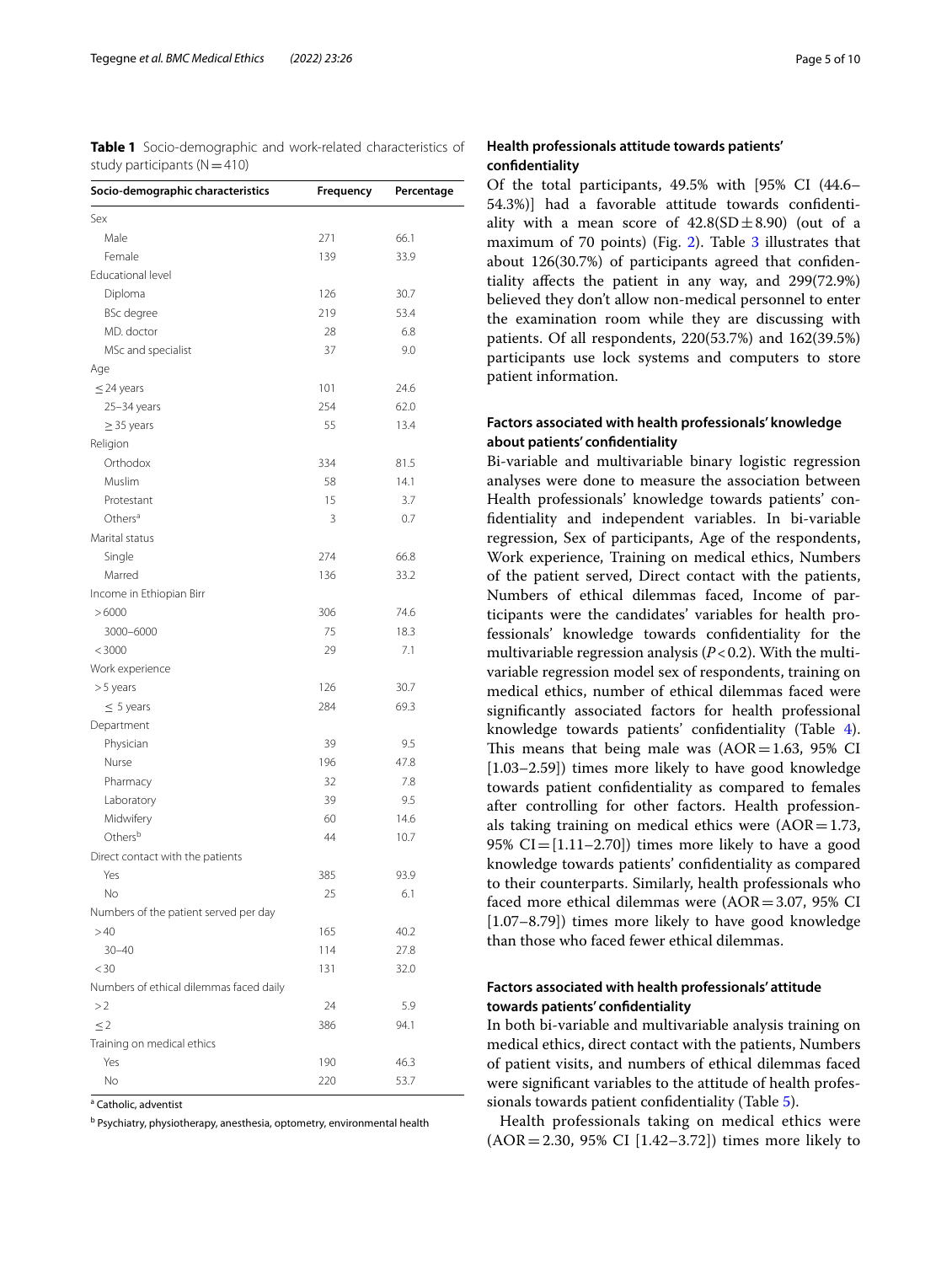<span id="page-4-0"></span>**Table 1** Socio-demographic and work-related characteristics of study participants  $(N=410)$ 

| Socio-demographic characteristics       | Frequency | Percentage   |
|-----------------------------------------|-----------|--------------|
| Sex                                     |           |              |
| Male                                    | 271       | 66.1         |
| Female                                  | 139       | 33.9         |
| Educational level                       |           |              |
| Diploma                                 | 126       | 30.7         |
| <b>BSc</b> degree                       | 219       | 53.4         |
| MD. doctor                              | 28        | 6.8          |
| MSc and specialist                      | 37        | 9.0          |
| Age                                     |           |              |
| $\leq$ 24 years                         | 101       | 24.6         |
| 25-34 years                             | 254       | 62.0         |
| $\geq$ 35 years                         | 55        | 13.4         |
| Religion                                |           |              |
| Orthodox                                | 334       | 81.5         |
| Muslim                                  | 58        | 14.1         |
| Protestant                              | 15        | 3.7          |
| Others <sup>a</sup>                     | 3         | 0.7          |
| Marital status                          |           |              |
| Single                                  | 274       | 66.8         |
| Marred                                  | 136       | 33.2         |
| Income in Ethiopian Birr                |           |              |
| >6000                                   | 306       | 74.6         |
| 3000-6000                               | 75        | 18.3         |
| < 3000                                  | 29        | 7.1          |
| Work experience                         |           |              |
| >5 years                                | 126       | 30.7         |
| $\leq$ 5 years                          | 284       | 69.3         |
| Department                              |           |              |
| Physician                               | 39        | 9.5          |
| Nurse                                   | 196       | 47.8         |
| Pharmacy                                | 32        | 7.8          |
| Laboratory                              | 39        | 9.5          |
| Midwifery                               | 60        | 14.6         |
| Others <sup>b</sup>                     | 44        | 10.7         |
| Direct contact with the patients        |           |              |
| Yes                                     | 385       | 93.9         |
| No                                      | 25        | 6.1          |
| Numbers of the patient served per day   |           |              |
| >40                                     | 165       |              |
| $30 - 40$                               |           | 40.2         |
|                                         | 114       | 27.8<br>32.0 |
| $<$ 30                                  | 131       |              |
| Numbers of ethical dilemmas faced daily |           |              |
| >2                                      | 24        | 5.9          |
| $\leq$ 2                                | 386       | 94.1         |
| Training on medical ethics              |           |              |
| Yes                                     | 190       | 46.3         |
| No                                      | 220       | 53.7         |

<sup>a</sup> Catholic, adventist

<sup>b</sup> Psychiatry, physiotherapy, anesthesia, optometry, environmental health

# **Health professionals attitude towards patients' confdentiality**

Of the total participants, 49.5% with [95% CI (44.6– 54.3%)] had a favorable attitude towards confdentiality with a mean score of  $42.8(SD \pm 8.90)$  (out of a maximum of 70 points) (Fig. [2](#page-5-0)). Table [3](#page-5-2) illustrates that about 126(30.7%) of participants agreed that confdentiality afects the patient in any way, and 299(72.9%) believed they don't allow non-medical personnel to enter the examination room while they are discussing with patients. Of all respondents, 220(53.7%) and 162(39.5%) participants use lock systems and computers to store patient information.

# **Factors associated with health professionals' knowledge about patients' confdentiality**

Bi-variable and multivariable binary logistic regression analyses were done to measure the association between Health professionals' knowledge towards patients' confdentiality and independent variables. In bi-variable regression, Sex of participants, Age of the respondents, Work experience, Training on medical ethics, Numbers of the patient served, Direct contact with the patients, Numbers of ethical dilemmas faced, Income of participants were the candidates' variables for health professionals' knowledge towards confdentiality for the multivariable regression analysis  $(P<0.2)$ . With the multivariable regression model sex of respondents, training on medical ethics, number of ethical dilemmas faced were signifcantly associated factors for health professional knowledge towards patients' confdentiality (Table [4](#page-6-0)). This means that being male was  $(AOR=1.63, 95\% \text{ CI})$ [1.03–2.59]) times more likely to have good knowledge towards patient confdentiality as compared to females after controlling for other factors. Health professionals taking training on medical ethics were  $(AOR=1.73,$ 95%  $CI = [1.11–2.70]$  times more likely to have a good knowledge towards patients' confdentiality as compared to their counterparts. Similarly, health professionals who faced more ethical dilemmas were (AOR=3.07, 95% CI [1.07–8.79]) times more likely to have good knowledge than those who faced fewer ethical dilemmas.

# **Factors associated with health professionals' attitude towards patients' confdentiality**

In both bi-variable and multivariable analysis training on medical ethics, direct contact with the patients, Numbers of patient visits, and numbers of ethical dilemmas faced were signifcant variables to the attitude of health professionals towards patient confdentiality (Table [5\)](#page-7-0).

Health professionals taking on medical ethics were  $(AOR = 2.30, 95\% \text{ CI} [1.42 - 3.72])$  times more likely to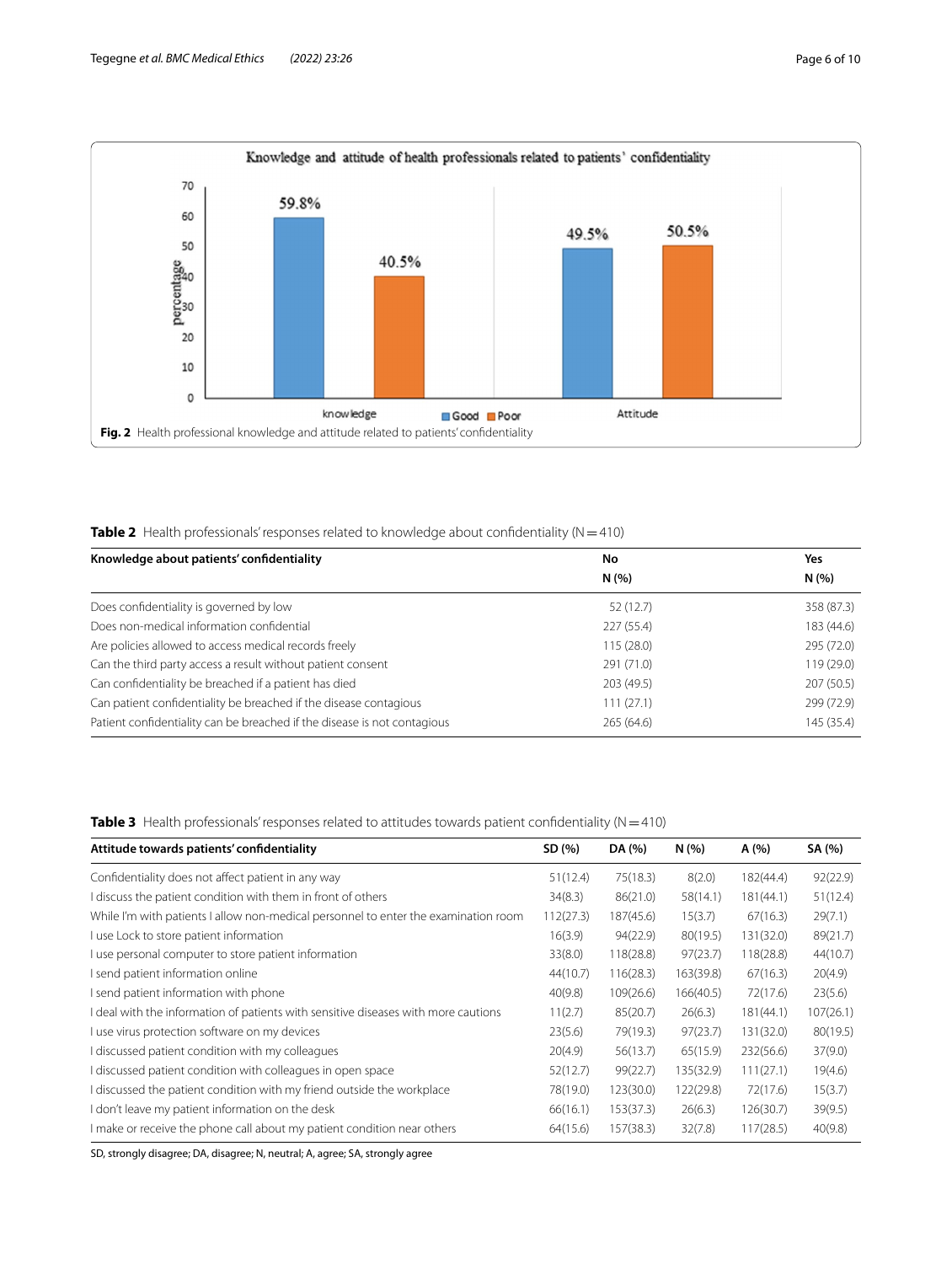

<span id="page-5-1"></span><span id="page-5-0"></span>**Table 2** Health professionals' responses related to knowledge about confidentiality (N=410)

| Knowledge about patients' confidentiality                                | No         | Yes        |
|--------------------------------------------------------------------------|------------|------------|
|                                                                          | N(%        | N(%        |
| Does confidentiality is governed by low                                  | 52(12.7)   | 358 (87.3) |
| Does non-medical information confidential                                | 227(55.4)  | 183 (44.6) |
| Are policies allowed to access medical records freely                    | 115(28.0)  | 295 (72.0) |
| Can the third party access a result without patient consent              | 291 (71.0) | 119(29.0)  |
| Can confidentiality be breached if a patient has died                    | 203 (49.5) | 207 (50.5) |
| Can patient confidentiality be breached if the disease contagious        | 111(27.1)  | 299 (72.9) |
| Patient confidentiality can be breached if the disease is not contagious | 265(64.6)  | 145 (35.4) |

<span id="page-5-2"></span>**Table 3** Health professionals' responses related to attitudes towards patient confidentiality (N=410)

| Attitude towards patients' confidentiality                                          | SD (%)    | DA (%)    | N(%)      | A(%)      | SA (%)    |
|-------------------------------------------------------------------------------------|-----------|-----------|-----------|-----------|-----------|
| Confidentiality does not affect patient in any way                                  | 51(12.4)  | 75(18.3)  | 8(2.0)    | 182(44.4) | 92(22.9)  |
| I discuss the patient condition with them in front of others                        | 34(8.3)   | 86(21.0)  | 58(14.1)  | 181(44.1) | 51(12.4)  |
| While I'm with patients I allow non-medical personnel to enter the examination room | 112(27.3) | 187(45.6) | 15(3.7)   | 67(16.3)  | 29(7.1)   |
| I use Lock to store patient information                                             | 16(3.9)   | 94(22.9)  | 80(19.5)  | 131(32.0) | 89(21.7)  |
| I use personal computer to store patient information                                | 33(8.0)   | 118(28.8) | 97(23.7)  | 118(28.8) | 44(10.7)  |
| I send patient information online                                                   | 44(10.7)  | 116(28.3) | 163(39.8) | 67(16.3)  | 20(4.9)   |
| I send patient information with phone                                               | 40(9.8)   | 109(26.6) | 166(40.5) | 72(17.6)  | 23(5.6)   |
| I deal with the information of patients with sensitive diseases with more cautions  | 11(2.7)   | 85(20.7)  | 26(6.3)   | 181(44.1) | 107(26.1) |
| I use virus protection software on my devices                                       | 23(5.6)   | 79(19.3)  | 97(23.7)  | 131(32.0) | 80(19.5)  |
| I discussed patient condition with my colleagues                                    | 20(4.9)   | 56(13.7)  | 65(15.9)  | 232(56.6) | 37(9.0)   |
| I discussed patient condition with colleagues in open space                         | 52(12.7)  | 99(22.7)  | 135(32.9) | 111(27.1) | 19(4.6)   |
| I discussed the patient condition with my friend outside the workplace              | 78(19.0)  | 123(30.0) | 122(29.8) | 72(17.6)  | 15(3.7)   |
| don't leave my patient information on the desk                                      | 66(16.1)  | 153(37.3) | 26(6.3)   | 126(30.7) | 39(9.5)   |
| I make or receive the phone call about my patient condition near others             | 64(15.6)  | 157(38.3) | 32(7.8)   | 117(28.5) | 40(9.8)   |

SD, strongly disagree; DA, disagree; N, neutral; A, agree; SA, strongly agree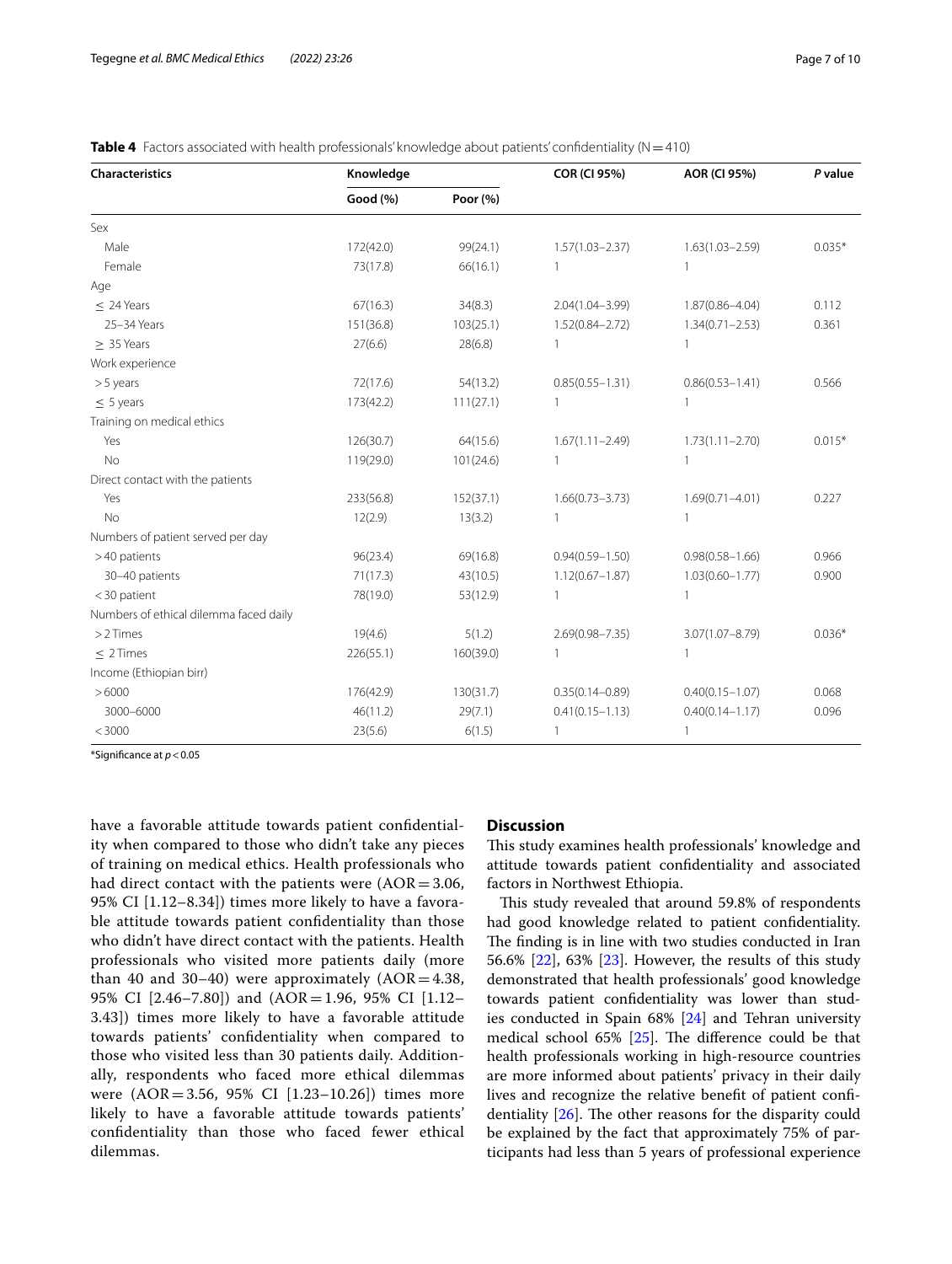| Characteristics                        | Knowledge |           | <b>COR (CI 95%)</b> | <b>AOR (CI 95%)</b> | P value  |
|----------------------------------------|-----------|-----------|---------------------|---------------------|----------|
|                                        | Good (%)  | Poor (%)  |                     |                     |          |
| Sex                                    |           |           |                     |                     |          |
| Male                                   | 172(42.0) | 99(24.1)  | $1.57(1.03 - 2.37)$ | $1.63(1.03 - 2.59)$ | $0.035*$ |
| Female                                 | 73(17.8)  | 66(16.1)  | 1                   |                     |          |
| Age                                    |           |           |                     |                     |          |
| $\leq$ 24 Years                        | 67(16.3)  | 34(8.3)   | $2.04(1.04 - 3.99)$ | $1.87(0.86 - 4.04)$ | 0.112    |
| 25-34 Years                            | 151(36.8) | 103(25.1) | $1.52(0.84 - 2.72)$ | $1.34(0.71 - 2.53)$ | 0.361    |
| $> 35$ Years                           | 27(6.6)   | 28(6.8)   | 1                   |                     |          |
| Work experience                        |           |           |                     |                     |          |
| $> 5$ years                            | 72(17.6)  | 54(13.2)  | $0.85(0.55 - 1.31)$ | $0.86(0.53 - 1.41)$ | 0.566    |
| $\leq$ 5 years                         | 173(42.2) | 111(27.1) | 1                   |                     |          |
| Training on medical ethics             |           |           |                     |                     |          |
| Yes                                    | 126(30.7) | 64(15.6)  | $1.67(1.11 - 2.49)$ | $1.73(1.11 - 2.70)$ | $0.015*$ |
| No                                     | 119(29.0) | 101(24.6) |                     | 1                   |          |
| Direct contact with the patients       |           |           |                     |                     |          |
| Yes                                    | 233(56.8) | 152(37.1) | $1.66(0.73 - 3.73)$ | $1.69(0.71 - 4.01)$ | 0.227    |
| <b>No</b>                              | 12(2.9)   | 13(3.2)   |                     | $\mathbf{1}$        |          |
| Numbers of patient served per day      |           |           |                     |                     |          |
| >40 patients                           | 96(23.4)  | 69(16.8)  | $0.94(0.59 - 1.50)$ | $0.98(0.58 - 1.66)$ | 0.966    |
| 30-40 patients                         | 71(17.3)  | 43(10.5)  | $1.12(0.67 - 1.87)$ | $1.03(0.60 - 1.77)$ | 0.900    |
| $<$ 30 patient                         | 78(19.0)  | 53(12.9)  | 1                   | $\mathbf{1}$        |          |
| Numbers of ethical dilemma faced daily |           |           |                     |                     |          |
| $>2$ Times                             | 19(4.6)   | 5(1.2)    | $2.69(0.98 - 7.35)$ | $3.07(1.07 - 8.79)$ | $0.036*$ |
| $\leq$ 2 Times                         | 226(55.1) | 160(39.0) |                     | $\mathbf{1}$        |          |
| Income (Ethiopian birr)                |           |           |                     |                     |          |
| >6000                                  | 176(42.9) | 130(31.7) | $0.35(0.14 - 0.89)$ | $0.40(0.15 - 1.07)$ | 0.068    |
| 3000-6000                              | 46(11.2)  | 29(7.1)   | $0.41(0.15 - 1.13)$ | $0.40(0.14 - 1.17)$ | 0.096    |
| < 3000                                 | 23(5.6)   | 6(1.5)    | 1                   | 1                   |          |

<span id="page-6-0"></span>

| Table 4 Factors associated with health professionals' knowledge about patients' confidentiality ( $N$ = 410) |  |
|--------------------------------------------------------------------------------------------------------------|--|
|--------------------------------------------------------------------------------------------------------------|--|

\*Signifcance at *p*<0.05

have a favorable attitude towards patient confdentiality when compared to those who didn't take any pieces of training on medical ethics. Health professionals who had direct contact with the patients were  $(AOR = 3.06,$ 95% CI [1.12–8.34]) times more likely to have a favorable attitude towards patient confdentiality than those who didn't have direct contact with the patients. Health professionals who visited more patients daily (more than 40 and 30–40) were approximately  $(AOR = 4.38,$ 95% CI [2.46–7.80]) and (AOR=1.96, 95% CI [1.12– 3.43]) times more likely to have a favorable attitude towards patients' confdentiality when compared to those who visited less than 30 patients daily. Additionally, respondents who faced more ethical dilemmas were (AOR=3.56, 95% CI [1.23–10.26]) times more likely to have a favorable attitude towards patients' confdentiality than those who faced fewer ethical dilemmas.

# **Discussion**

This study examines health professionals' knowledge and attitude towards patient confdentiality and associated factors in Northwest Ethiopia.

This study revealed that around 59.8% of respondents had good knowledge related to patient confdentiality. The finding is in line with two studies conducted in Iran 56.6% [\[22](#page-9-21)], 63% [[23\]](#page-9-22). However, the results of this study demonstrated that health professionals' good knowledge towards patient confdentiality was lower than studies conducted in Spain 68% [\[24](#page-9-23)] and Tehran university medical school  $65\%$  [ $25$ ]. The difference could be that health professionals working in high-resource countries are more informed about patients' privacy in their daily lives and recognize the relative beneft of patient confdentiality  $[26]$  $[26]$  $[26]$ . The other reasons for the disparity could be explained by the fact that approximately 75% of participants had less than 5 years of professional experience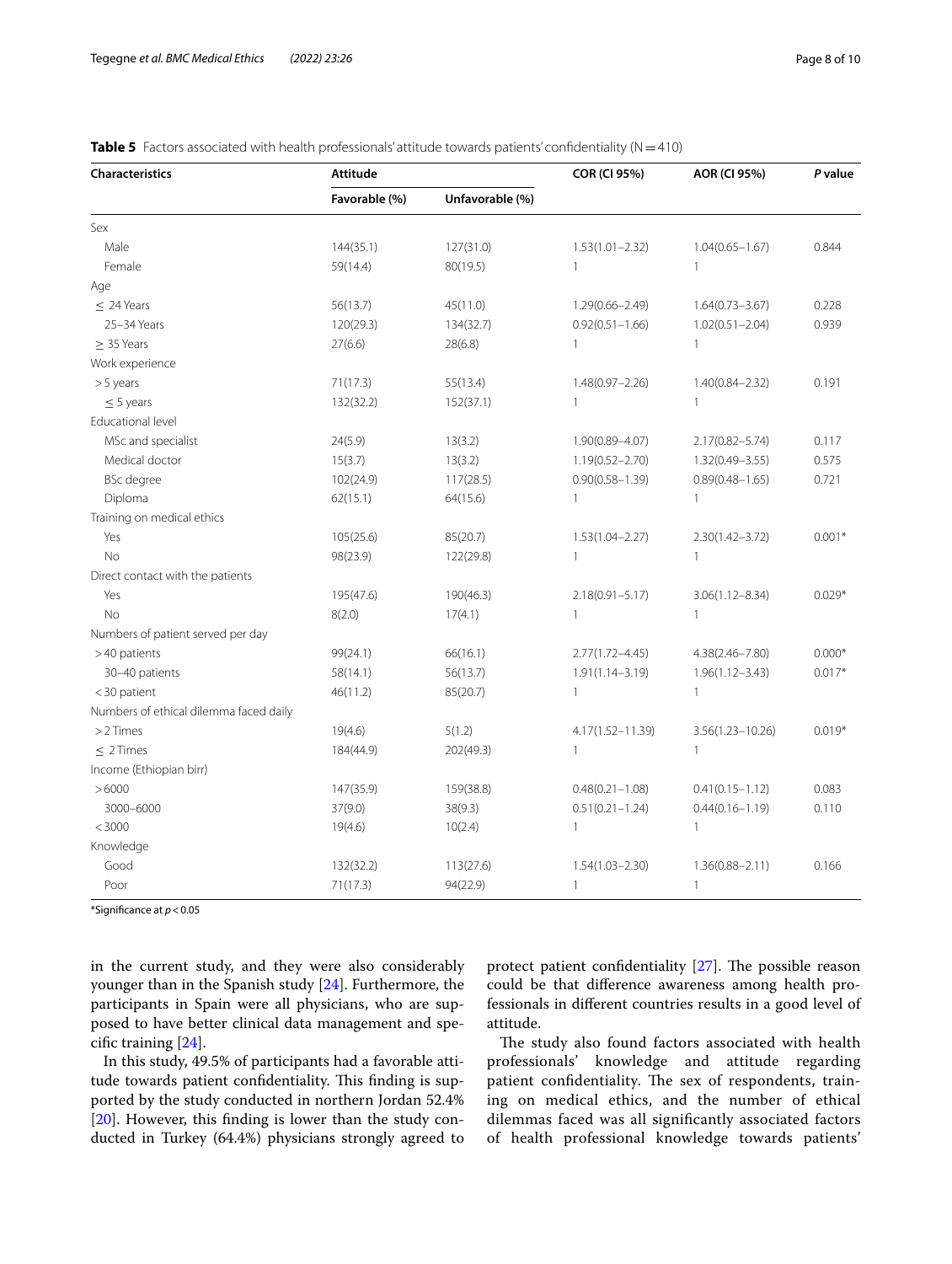| <b>Characteristics</b>                 | <b>Attitude</b>                  |           | <b>COR (CI 95%)</b> | AOR (CI 95%)         | P value  |  |
|----------------------------------------|----------------------------------|-----------|---------------------|----------------------|----------|--|
|                                        | Unfavorable (%)<br>Favorable (%) |           |                     |                      |          |  |
| Sex                                    |                                  |           |                     |                      |          |  |
| Male                                   | 144(35.1)                        | 127(31.0) | $1.53(1.01 - 2.32)$ | $1.04(0.65 - 1.67)$  | 0.844    |  |
| Female                                 | 59(14.4)                         | 80(19.5)  | 1                   | 1                    |          |  |
| Age                                    |                                  |           |                     |                      |          |  |
| $\leq$ 24 Years                        | 56(13.7)                         | 45(11.0)  | $1.29(0.66 - 2.49)$ | $1.64(0.73 - 3.67)$  | 0.228    |  |
| 25-34 Years                            | 120(29.3)                        | 134(32.7) | $0.92(0.51 - 1.66)$ | $1.02(0.51 - 2.04)$  | 0.939    |  |
| > 35 Years                             | 27(6.6)                          | 28(6.8)   | $\mathbf{1}$        | $\mathbf{1}$         |          |  |
| Work experience                        |                                  |           |                     |                      |          |  |
| >5 years                               | 71(17.3)                         | 55(13.4)  | $1.48(0.97 - 2.26)$ | $1.40(0.84 - 2.32)$  | 0.191    |  |
| $\leq$ 5 years                         | 132(32.2)                        | 152(37.1) | $\mathbf{1}$        | $\mathbf{1}$         |          |  |
| Educational level                      |                                  |           |                     |                      |          |  |
| MSc and specialist                     | 24(5.9)                          | 13(3.2)   | 1.90(0.89-4.07)     | $2.17(0.82 - 5.74)$  | 0.117    |  |
| Medical doctor                         | 15(3.7)                          | 13(3.2)   | $1.19(0.52 - 2.70)$ | $1.32(0.49 - 3.55)$  | 0.575    |  |
| <b>BSc</b> degree                      | 102(24.9)                        | 117(28.5) | $0.90(0.58 - 1.39)$ | $0.89(0.48 - 1.65)$  | 0.721    |  |
| Diploma                                | 62(15.1)                         | 64(15.6)  | $\mathbf{1}$        | $\mathbf{1}$         |          |  |
| Training on medical ethics             |                                  |           |                     |                      |          |  |
| Yes                                    | 105(25.6)                        | 85(20.7)  | $1.53(1.04 - 2.27)$ | $2.30(1.42 - 3.72)$  | $0.001*$ |  |
| <b>No</b>                              | 98(23.9)                         | 122(29.8) | $\mathbf{1}$        | $\mathbf{1}$         |          |  |
| Direct contact with the patients       |                                  |           |                     |                      |          |  |
| Yes                                    | 195(47.6)                        | 190(46.3) | $2.18(0.91 - 5.17)$ | $3.06(1.12 - 8.34)$  | $0.029*$ |  |
| <b>No</b>                              | 8(2.0)                           | 17(4.1)   | $\mathbf{1}$        | $\mathbf{1}$         |          |  |
| Numbers of patient served per day      |                                  |           |                     |                      |          |  |
| >40 patients                           | 99(24.1)                         | 66(16.1)  | $2.77(1.72 - 4.45)$ | 4.38(2.46-7.80)      | $0.000*$ |  |
| 30-40 patients                         | 58(14.1)                         | 56(13.7)  | $1.91(1.14 - 3.19)$ | $1.96(1.12 - 3.43)$  | $0.017*$ |  |
| <30 patient                            | 46(11.2)                         | 85(20.7)  | $\mathbf{1}$        | $\mathbf{1}$         |          |  |
| Numbers of ethical dilemma faced daily |                                  |           |                     |                      |          |  |
| $>2$ Times                             | 19(4.6)                          | 5(1.2)    | 4.17(1.52-11.39)    | $3.56(1.23 - 10.26)$ | $0.019*$ |  |
| $< 2$ Times                            | 184(44.9)                        | 202(49.3) | $\mathbf{1}$        | $\mathbf{1}$         |          |  |
| Income (Ethiopian birr)                |                                  |           |                     |                      |          |  |
| >6000                                  | 147(35.9)                        | 159(38.8) | $0.48(0.21 - 1.08)$ | $0.41(0.15 - 1.12)$  | 0.083    |  |
| 3000-6000                              | 37(9.0)                          | 38(9.3)   | $0.51(0.21 - 1.24)$ | $0.44(0.16 - 1.19)$  | 0.110    |  |
| $<$ 3000                               | 19(4.6)                          | 10(2.4)   | $\mathbf{1}$        | $\mathbf{1}$         |          |  |
| Knowledge                              |                                  |           |                     |                      |          |  |
| Good                                   | 132(32.2)                        | 113(27.6) | $1.54(1.03 - 2.30)$ | $1.36(0.88 - 2.11)$  | 0.166    |  |
| Poor                                   | 71(17.3)                         | 94(22.9)  | 1                   | $\mathbf{1}$         |          |  |

<span id="page-7-0"></span>**Table 5** Factors associated with health professionals' attitude towards patients' confidentiality  $(N=410)$ 

\*Signifcance at *p*<0.05

in the current study, and they were also considerably younger than in the Spanish study [\[24](#page-9-23)]. Furthermore, the participants in Spain were all physicians, who are supposed to have better clinical data management and specifc training [[24\]](#page-9-23).

In this study, 49.5% of participants had a favorable attitude towards patient confidentiality. This finding is supported by the study conducted in northern Jordan 52.4% [[20\]](#page-9-19). However, this finding is lower than the study conducted in Turkey (64.4%) physicians strongly agreed to protect patient confidentiality  $[27]$  $[27]$ . The possible reason could be that diference awareness among health professionals in diferent countries results in a good level of attitude.

The study also found factors associated with health professionals' knowledge and attitude regarding patient confidentiality. The sex of respondents, training on medical ethics, and the number of ethical dilemmas faced was all signifcantly associated factors of health professional knowledge towards patients'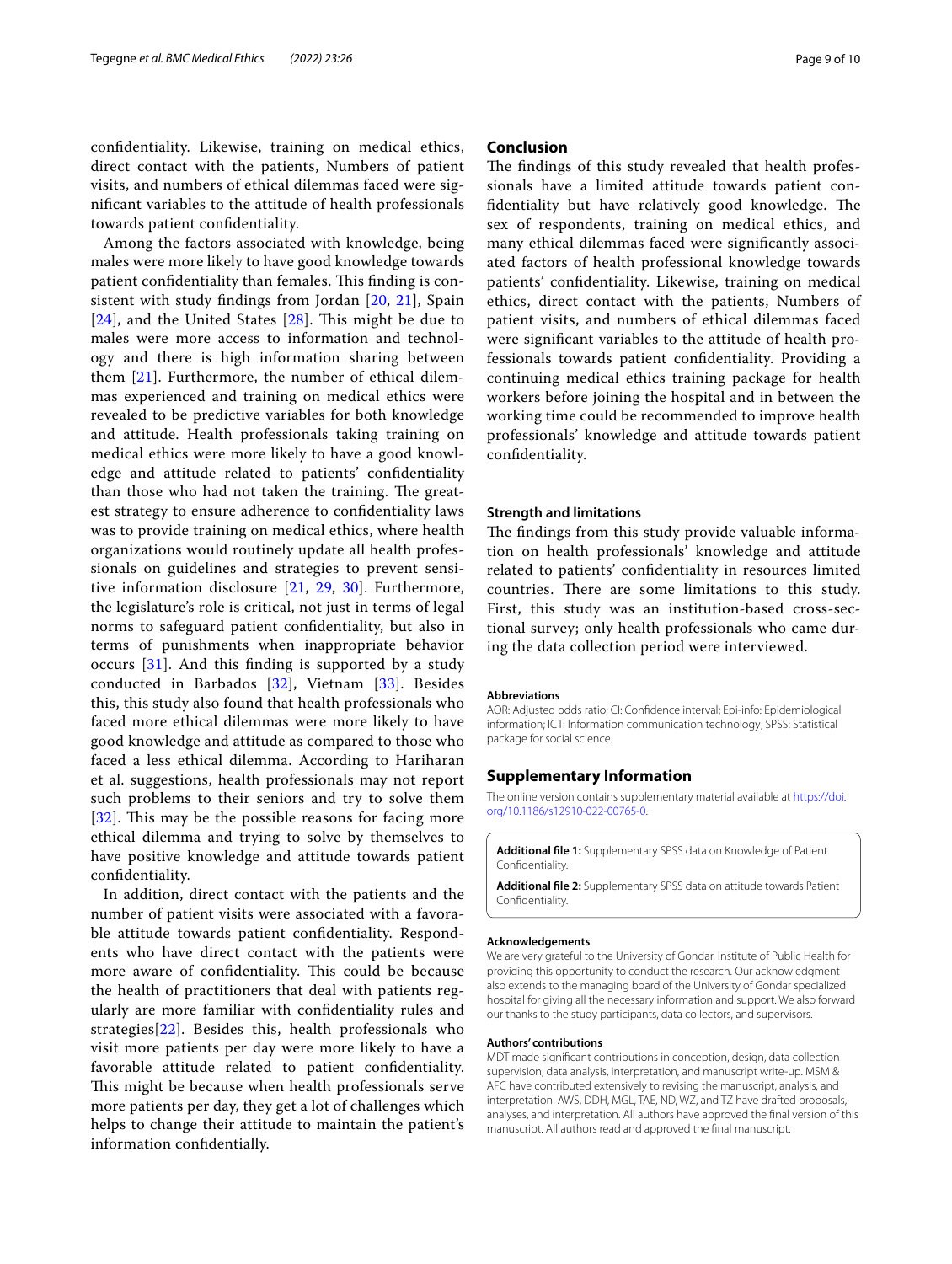confdentiality. Likewise, training on medical ethics, direct contact with the patients, Numbers of patient visits, and numbers of ethical dilemmas faced were signifcant variables to the attitude of health professionals towards patient confdentiality.

Among the factors associated with knowledge, being males were more likely to have good knowledge towards patient confidentiality than females. This finding is consistent with study fndings from Jordan [[20](#page-9-19), [21](#page-9-20)], Spain  $[24]$  $[24]$  $[24]$ , and the United States  $[28]$  $[28]$ . This might be due to males were more access to information and technology and there is high information sharing between them [[21\]](#page-9-20). Furthermore, the number of ethical dilemmas experienced and training on medical ethics were revealed to be predictive variables for both knowledge and attitude. Health professionals taking training on medical ethics were more likely to have a good knowledge and attitude related to patients' confdentiality than those who had not taken the training. The greatest strategy to ensure adherence to confdentiality laws was to provide training on medical ethics, where health organizations would routinely update all health professionals on guidelines and strategies to prevent sensitive information disclosure [[21](#page-9-20), [29,](#page-9-28) [30](#page-9-29)]. Furthermore, the legislature's role is critical, not just in terms of legal norms to safeguard patient confdentiality, but also in terms of punishments when inappropriate behavior occurs [[31](#page-9-30)]. And this fnding is supported by a study conducted in Barbados [\[32](#page-9-31)], Vietnam [\[33](#page-9-32)]. Besides this, this study also found that health professionals who faced more ethical dilemmas were more likely to have good knowledge and attitude as compared to those who faced a less ethical dilemma. According to Hariharan et al. suggestions, health professionals may not report such problems to their seniors and try to solve them [[32](#page-9-31)]. This may be the possible reasons for facing more ethical dilemma and trying to solve by themselves to have positive knowledge and attitude towards patient confdentiality.

In addition, direct contact with the patients and the number of patient visits were associated with a favorable attitude towards patient confdentiality. Respondents who have direct contact with the patients were more aware of confidentiality. This could be because the health of practitioners that deal with patients regularly are more familiar with confdentiality rules and strategies[[22](#page-9-21)]. Besides this, health professionals who visit more patients per day were more likely to have a favorable attitude related to patient confdentiality. This might be because when health professionals serve more patients per day, they get a lot of challenges which helps to change their attitude to maintain the patient's information confdentially.

# **Conclusion**

The findings of this study revealed that health professionals have a limited attitude towards patient confidentiality but have relatively good knowledge. The sex of respondents, training on medical ethics, and many ethical dilemmas faced were signifcantly associated factors of health professional knowledge towards patients' confdentiality. Likewise, training on medical ethics, direct contact with the patients, Numbers of patient visits, and numbers of ethical dilemmas faced were signifcant variables to the attitude of health professionals towards patient confdentiality. Providing a continuing medical ethics training package for health workers before joining the hospital and in between the working time could be recommended to improve health professionals' knowledge and attitude towards patient confdentiality.

#### **Strength and limitations**

The findings from this study provide valuable information on health professionals' knowledge and attitude related to patients' confdentiality in resources limited countries. There are some limitations to this study. First, this study was an institution-based cross-sectional survey; only health professionals who came during the data collection period were interviewed.

#### **Abbreviations**

AOR: Adjusted odds ratio; CI: Confdence interval; Epi-info: Epidemiological information; ICT: Information communication technology; SPSS: Statistical package for social science.

# **Supplementary Information**

The online version contains supplementary material available at [https://doi.](https://doi.org/10.1186/s12910-022-00765-0) [org/10.1186/s12910-022-00765-0](https://doi.org/10.1186/s12910-022-00765-0).

**Additional fle 1:** Supplementary SPSS data on Knowledge of Patient **Confidentiality** 

**Additional fle 2:** Supplementary SPSS data on attitude towards Patient **Confidentiality** 

#### **Acknowledgements**

We are very grateful to the University of Gondar, Institute of Public Health for providing this opportunity to conduct the research. Our acknowledgment also extends to the managing board of the University of Gondar specialized hospital for giving all the necessary information and support. We also forward our thanks to the study participants, data collectors, and supervisors.

#### **Authors' contributions**

MDT made signifcant contributions in conception, design, data collection supervision, data analysis, interpretation, and manuscript write-up. MSM & AFC have contributed extensively to revising the manuscript, analysis, and interpretation. AWS, DDH, MGL, TAE, ND, WZ, and TZ have drafted proposals, analyses, and interpretation. All authors have approved the fnal version of this manuscript. All authors read and approved the fnal manuscript.